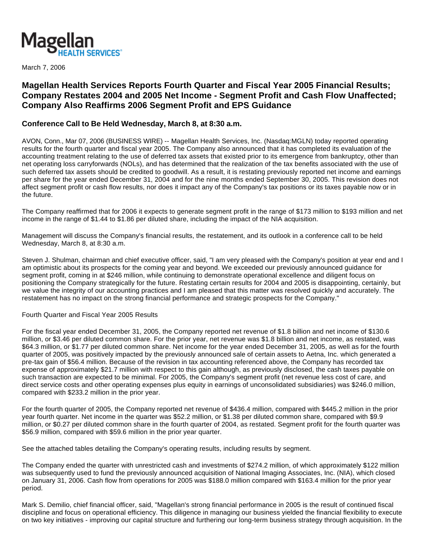

March 7, 2006

# **Magellan Health Services Reports Fourth Quarter and Fiscal Year 2005 Financial Results; Company Restates 2004 and 2005 Net Income - Segment Profit and Cash Flow Unaffected; Company Also Reaffirms 2006 Segment Profit and EPS Guidance**

## **Conference Call to Be Held Wednesday, March 8, at 8:30 a.m.**

AVON, Conn., Mar 07, 2006 (BUSINESS WIRE) -- Magellan Health Services, Inc. (Nasdaq:MGLN) today reported operating results for the fourth quarter and fiscal year 2005. The Company also announced that it has completed its evaluation of the accounting treatment relating to the use of deferred tax assets that existed prior to its emergence from bankruptcy, other than net operating loss carryforwards (NOLs), and has determined that the realization of the tax benefits associated with the use of such deferred tax assets should be credited to goodwill. As a result, it is restating previously reported net income and earnings per share for the year ended December 31, 2004 and for the nine months ended September 30, 2005. This revision does not affect segment profit or cash flow results, nor does it impact any of the Company's tax positions or its taxes payable now or in the future.

The Company reaffirmed that for 2006 it expects to generate segment profit in the range of \$173 million to \$193 million and net income in the range of \$1.44 to \$1.86 per diluted share, including the impact of the NIA acquisition.

Management will discuss the Company's financial results, the restatement, and its outlook in a conference call to be held Wednesday, March 8, at 8:30 a.m.

Steven J. Shulman, chairman and chief executive officer, said, "I am very pleased with the Company's position at year end and I am optimistic about its prospects for the coming year and beyond. We exceeded our previously announced guidance for segment profit, coming in at \$246 million, while continuing to demonstrate operational excellence and diligent focus on positioning the Company strategically for the future. Restating certain results for 2004 and 2005 is disappointing, certainly, but we value the integrity of our accounting practices and I am pleased that this matter was resolved quickly and accurately. The restatement has no impact on the strong financial performance and strategic prospects for the Company."

### Fourth Quarter and Fiscal Year 2005 Results

For the fiscal year ended December 31, 2005, the Company reported net revenue of \$1.8 billion and net income of \$130.6 million, or \$3.46 per diluted common share. For the prior year, net revenue was \$1.8 billion and net income, as restated, was \$64.3 million, or \$1.77 per diluted common share. Net income for the year ended December 31, 2005, as well as for the fourth quarter of 2005, was positively impacted by the previously announced sale of certain assets to Aetna, Inc. which generated a pre-tax gain of \$56.4 million. Because of the revision in tax accounting referenced above, the Company has recorded tax expense of approximately \$21.7 million with respect to this gain although, as previously disclosed, the cash taxes payable on such transaction are expected to be minimal. For 2005, the Company's segment profit (net revenue less cost of care, and direct service costs and other operating expenses plus equity in earnings of unconsolidated subsidiaries) was \$246.0 million, compared with \$233.2 million in the prior year.

For the fourth quarter of 2005, the Company reported net revenue of \$436.4 million, compared with \$445.2 million in the prior year fourth quarter. Net income in the quarter was \$52.2 million, or \$1.38 per diluted common share, compared with \$9.9 million, or \$0.27 per diluted common share in the fourth quarter of 2004, as restated. Segment profit for the fourth quarter was \$56.9 million, compared with \$59.6 million in the prior year quarter.

See the attached tables detailing the Company's operating results, including results by segment.

The Company ended the quarter with unrestricted cash and investments of \$274.2 million, of which approximately \$122 million was subsequently used to fund the previously announced acquisition of National Imaging Associates, Inc. (NIA), which closed on January 31, 2006. Cash flow from operations for 2005 was \$188.0 million compared with \$163.4 million for the prior year period.

Mark S. Demilio, chief financial officer, said, "Magellan's strong financial performance in 2005 is the result of continued fiscal discipline and focus on operational efficiency. This diligence in managing our business yielded the financial flexibility to execute on two key initiatives - improving our capital structure and furthering our long-term business strategy through acquisition. In the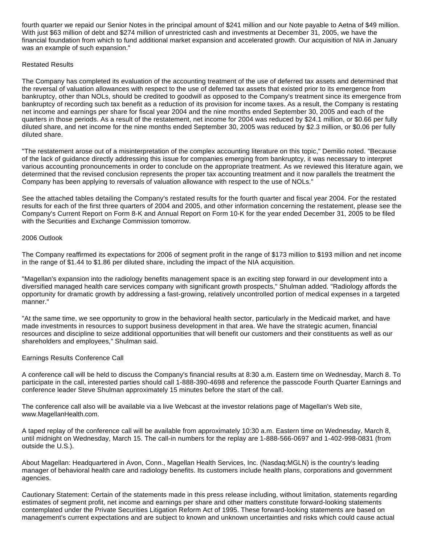fourth quarter we repaid our Senior Notes in the principal amount of \$241 million and our Note payable to Aetna of \$49 million. With just \$63 million of debt and \$274 million of unrestricted cash and investments at December 31, 2005, we have the financial foundation from which to fund additional market expansion and accelerated growth. Our acquisition of NIA in January was an example of such expansion."

## Restated Results

The Company has completed its evaluation of the accounting treatment of the use of deferred tax assets and determined that the reversal of valuation allowances with respect to the use of deferred tax assets that existed prior to its emergence from bankruptcy, other than NOLs, should be credited to goodwill as opposed to the Company's treatment since its emergence from bankruptcy of recording such tax benefit as a reduction of its provision for income taxes. As a result, the Company is restating net income and earnings per share for fiscal year 2004 and the nine months ended September 30, 2005 and each of the quarters in those periods. As a result of the restatement, net income for 2004 was reduced by \$24.1 million, or \$0.66 per fully diluted share, and net income for the nine months ended September 30, 2005 was reduced by \$2.3 million, or \$0.06 per fully diluted share.

"The restatement arose out of a misinterpretation of the complex accounting literature on this topic," Demilio noted. "Because of the lack of guidance directly addressing this issue for companies emerging from bankruptcy, it was necessary to interpret various accounting pronouncements in order to conclude on the appropriate treatment. As we reviewed this literature again, we determined that the revised conclusion represents the proper tax accounting treatment and it now parallels the treatment the Company has been applying to reversals of valuation allowance with respect to the use of NOLs."

See the attached tables detailing the Company's restated results for the fourth quarter and fiscal year 2004. For the restated results for each of the first three quarters of 2004 and 2005, and other information concerning the restatement, please see the Company's Current Report on Form 8-K and Annual Report on Form 10-K for the year ended December 31, 2005 to be filed with the Securities and Exchange Commission tomorrow.

## 2006 Outlook

The Company reaffirmed its expectations for 2006 of segment profit in the range of \$173 million to \$193 million and net income in the range of \$1.44 to \$1.86 per diluted share, including the impact of the NIA acquisition.

"Magellan's expansion into the radiology benefits management space is an exciting step forward in our development into a diversified managed health care services company with significant growth prospects," Shulman added. "Radiology affords the opportunity for dramatic growth by addressing a fast-growing, relatively uncontrolled portion of medical expenses in a targeted manner."

"At the same time, we see opportunity to grow in the behavioral health sector, particularly in the Medicaid market, and have made investments in resources to support business development in that area. We have the strategic acumen, financial resources and discipline to seize additional opportunities that will benefit our customers and their constituents as well as our shareholders and employees," Shulman said.

### Earnings Results Conference Call

A conference call will be held to discuss the Company's financial results at 8:30 a.m. Eastern time on Wednesday, March 8. To participate in the call, interested parties should call 1-888-390-4698 and reference the passcode Fourth Quarter Earnings and conference leader Steve Shulman approximately 15 minutes before the start of the call.

The conference call also will be available via a live Webcast at the investor relations page of Magellan's Web site, www.MagellanHealth.com.

A taped replay of the conference call will be available from approximately 10:30 a.m. Eastern time on Wednesday, March 8, until midnight on Wednesday, March 15. The call-in numbers for the replay are 1-888-566-0697 and 1-402-998-0831 (from outside the U.S.).

About Magellan: Headquartered in Avon, Conn., Magellan Health Services, Inc. (Nasdaq:MGLN) is the country's leading manager of behavioral health care and radiology benefits. Its customers include health plans, corporations and government agencies.

Cautionary Statement: Certain of the statements made in this press release including, without limitation, statements regarding estimates of segment profit, net income and earnings per share and other matters constitute forward-looking statements contemplated under the Private Securities Litigation Reform Act of 1995. These forward-looking statements are based on management's current expectations and are subject to known and unknown uncertainties and risks which could cause actual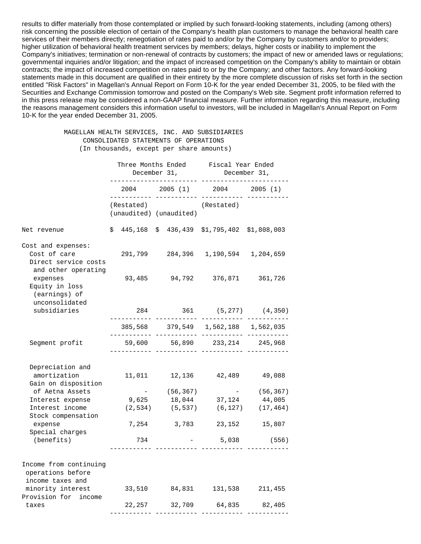results to differ materially from those contemplated or implied by such forward-looking statements, including (among others) risk concerning the possible election of certain of the Company's health plan customers to manage the behavioral health care services of their members directly; renegotiation of rates paid to and/or by the Company by customers and/or to providers; higher utilization of behavioral health treatment services by members; delays, higher costs or inability to implement the Company's initiatives; termination or non-renewal of contracts by customers; the impact of new or amended laws or regulations; governmental inquiries and/or litigation; and the impact of increased competition on the Company's ability to maintain or obtain contracts; the impact of increased competition on rates paid to or by the Company; and other factors. Any forward-looking statements made in this document are qualified in their entirety by the more complete discussion of risks set forth in the section entitled "Risk Factors" in Magellan's Annual Report on Form 10-K for the year ended December 31, 2005, to be filed with the Securities and Exchange Commission tomorrow and posted on the Company's Web site. Segment profit information referred to in this press release may be considered a non-GAAP financial measure. Further information regarding this measure, including the reasons management considers this information useful to investors, will be included in Magellan's Annual Report on Form 10-K for the year ended December 31, 2005.

#### MAGELLAN HEALTH SERVICES, INC. AND SUBSIDIARIES CONSOLIDATED STATEMENTS OF OPERATIONS (In thousands, except per share amounts)

|                                                                                   | December 31, |                     |  |                         | Three Months Ended Fiscal Year Ended<br>December 31, |                        |  |  |
|-----------------------------------------------------------------------------------|--------------|---------------------|--|-------------------------|------------------------------------------------------|------------------------|--|--|
|                                                                                   |              |                     |  |                         | 2004 2005 (1) 2004 2005 (1)                          |                        |  |  |
|                                                                                   |              | (Restated)          |  | (unaudited) (unaudited) | (Restated)                                           |                        |  |  |
| Net revenue                                                                       |              |                     |  |                         | $$445,168$$ $$436,439$$ $$1,795,402$$ $$1,808,003$   |                        |  |  |
| Cost and expenses:<br>Cost of care<br>Direct service costs<br>and other operating |              |                     |  |                         | 291,799 284,396 1,190,594 1,204,659                  |                        |  |  |
| expenses<br>Equity in loss<br>(earnings) of                                       |              |                     |  |                         | 93,485 94,792 376,871 361,726                        |                        |  |  |
| unconsolidated<br>subsidiaries                                                    |              | 284<br>. <i>.</i> . |  |                         |                                                      | 361 (5,277) (4,350)    |  |  |
|                                                                                   |              |                     |  |                         | 385,568 379,549 1,562,188 1,562,035                  |                        |  |  |
| Segment profit                                                                    |              |                     |  |                         | 59,600 56,890 233,214 245,968                        |                        |  |  |
| Depreciation and<br>amortization<br>Gain on disposition                           |              |                     |  |                         | 11,011  12,136  42,489  49,088                       |                        |  |  |
| of Aetna Assets                                                                   |              |                     |  | $-$ (56,367)            |                                                      | $-$ (56,367)           |  |  |
| Interest expense                                                                  |              |                     |  | 9,625 18,044            |                                                      | 37,124 44,005          |  |  |
| Interest income<br>Stock compensation                                             |              |                     |  | $(2,534)$ $(5,537)$     |                                                      | $(6, 127)$ $(17, 464)$ |  |  |
| expense<br>Special charges                                                        |              |                     |  |                         | 7,254 3,783 23,152 15,807                            |                        |  |  |
| (benefits)                                                                        |              | 734                 |  |                         | $-$ 5,038 (556)                                      |                        |  |  |
| Income from continuing<br>operations before<br>income taxes and                   |              |                     |  |                         |                                                      |                        |  |  |
| minority interest<br>Provision for income                                         |              |                     |  |                         | 33,510 84,831 131,538 211,455                        |                        |  |  |
| taxes                                                                             |              |                     |  |                         | 22,257 32,709 64,835 82,405                          |                        |  |  |
|                                                                                   |              |                     |  |                         |                                                      |                        |  |  |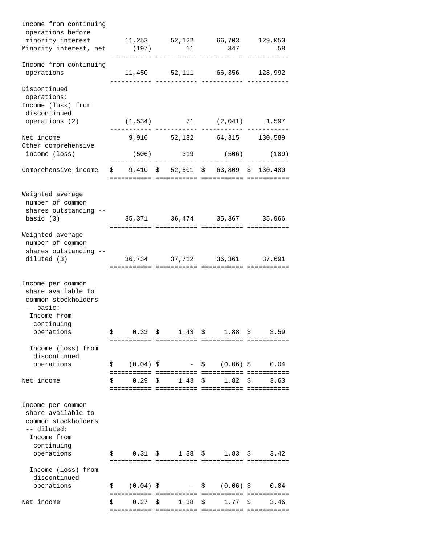| Income from continuing                                                                                   |                   |                               |                                                       |                                  |
|----------------------------------------------------------------------------------------------------------|-------------------|-------------------------------|-------------------------------------------------------|----------------------------------|
| operations before                                                                                        |                   |                               |                                                       |                                  |
| minority interest                                                                                        |                   |                               | 11,253 52,122 66,703 129,050                          |                                  |
| Minority interest, net (197)                                                                             |                   | 11                            | 347                                                   | 58                               |
| Income from continuing<br>operations                                                                     |                   |                               | 11,450 52,111 66,356 128,992                          |                                  |
| Discontinued                                                                                             |                   |                               |                                                       |                                  |
| operations:<br>Income (loss) from                                                                        |                   |                               |                                                       |                                  |
| discontinued<br>operations (2)                                                                           |                   |                               | $(1,534)$ 71 $(2,041)$ 1,597                          |                                  |
| Net income                                                                                               |                   |                               | 9,916 52,182 64,315 130,589                           |                                  |
| Other comprehensive<br>income (loss)                                                                     |                   |                               | $(506)$ 319 (506)                                     | (109)                            |
| Comprehensive income $$9,410 $5$ 52,501 \$ 63,809 \$ 130,480                                             |                   |                               |                                                       |                                  |
| Weighted average<br>number of common<br>shares outstanding --                                            |                   |                               |                                                       |                                  |
| basic $(3)$                                                                                              |                   |                               | 35, 371 36, 474 35, 367 35, 966                       |                                  |
| Weighted average<br>number of common<br>shares outstanding --                                            |                   |                               |                                                       |                                  |
| diluted (3)                                                                                              |                   |                               | 36,734 37,712 36,361 37,691                           |                                  |
| Income per common<br>share available to<br>common stockholders<br>-- basic:<br>Income from<br>continuing |                   |                               |                                                       |                                  |
| operations                                                                                               | 0.33<br>Ş         | 1.43<br>S                     | \$<br>1.88                                            | 3.59<br>Ş                        |
|                                                                                                          |                   |                               |                                                       |                                  |
| Income (loss) from                                                                                       |                   |                               |                                                       |                                  |
| discontinued                                                                                             |                   |                               |                                                       |                                  |
| operations                                                                                               | Ş.                | $(0.04)$ \$                   | $(0.06)$ \$<br>$\mathsf{S}$ and $\mathsf{S}$          | 0.04                             |
| Net income                                                                                               | 0.29<br>\$        | 1.43<br>Ŝ                     | 1.82<br>\$                                            | \$<br>3.63                       |
| Income per common                                                                                        |                   |                               |                                                       |                                  |
| share available to<br>common stockholders<br>-- diluted:<br>Income from<br>continuing                    |                   |                               |                                                       |                                  |
| operations                                                                                               | 0.31<br>Ş         | $\mathsf{S}$ and $\mathsf{S}$ | $1.38 \t5$                                            | $1.83 \; \; \; \; \;$ \$<br>3.42 |
| Income (loss) from                                                                                       |                   |                               |                                                       |                                  |
| discontinued<br>operations                                                                               | $(0.04)$ \$<br>\$ | $\sim$ 10 $\pm$               | $(0.06)$ \$<br>$\mathsf{S}$ . The set of $\mathsf{S}$ | 0.04                             |
|                                                                                                          |                   |                               |                                                       |                                  |
| Net income                                                                                               | 0.27<br>\$        | \$<br>1.38                    | \$<br>1.77                                            | \$<br>3.46                       |
|                                                                                                          |                   |                               |                                                       |                                  |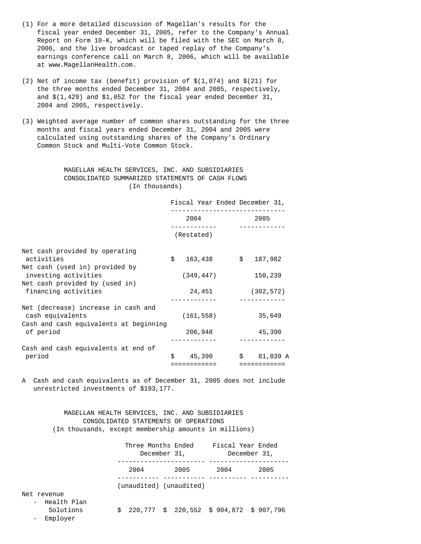- (1) For a more detailed discussion of Magellan's results for the fiscal year ended December 31, 2005, refer to the Company's Annual Report on Form 10-K, which will be filed with the SEC on March 8, 2006, and the live broadcast or taped replay of the Company's earnings conference call on March 8, 2006, which will be available at www.MagellanHealth.com.
- (2) Net of income tax (benefit) provision of  $\$(1,074)$  and  $\$(21)$  for the three months ended December 31, 2004 and 2005, respectively, and \$(1,429) and \$1,052 for the fiscal year ended December 31, 2004 and 2005, respectively.
- (3) Weighted average number of common shares outstanding for the three months and fiscal years ended December 31, 2004 and 2005 were calculated using outstanding shares of the Company's Ordinary Common Stock and Multi-Vote Common Stock.

#### MAGELLAN HEALTH SERVICES, INC. AND SUBSIDIARIES CONSOLIDATED SUMMARIZED STATEMENTS OF CASH FLOWS (In thousands)

|                                                                                                                                          |      | Fiscal Year Ended December 31, |  |              |
|------------------------------------------------------------------------------------------------------------------------------------------|------|--------------------------------|--|--------------|
|                                                                                                                                          | 2004 |                                |  | 2005         |
|                                                                                                                                          |      | (Restated)                     |  |              |
| Net cash provided by operating<br>activities<br>Net cash (used in) provided by<br>investing activities<br>Net cash provided by (used in) | \$   | 163,438                        |  | \$187,982    |
|                                                                                                                                          |      | (349, 447)                     |  | 150,239      |
| financing activities                                                                                                                     |      | 24,451                         |  | (302, 572)   |
| Net (decrease) increase in cash and<br>cash equivalents<br>Cash and cash equivalents at beginning                                        |      | (161, 558)                     |  | 35,649       |
| of period                                                                                                                                |      | 206,948                        |  | 45,390       |
| Cash and cash equivalents at end of<br>period                                                                                            | Ś.   | 45,390                         |  | $$81,039$ A  |
|                                                                                                                                          |      | ============                   |  | ============ |

A Cash and cash equivalents as of December 31, 2005 does not include unrestricted investments of \$193,177.

#### MAGELLAN HEALTH SERVICES, INC. AND SUBSIDIARIES CONSOLIDATED STATEMENTS OF OPERATIONS (In thousands, except membership amounts in millions)

|                            | Three Months Ended | December 31,                             | Fiscal Year Ended<br>December 31, |      |  |  |
|----------------------------|--------------------|------------------------------------------|-----------------------------------|------|--|--|
|                            | 2004               | 2005                                     | 2004                              | 2005 |  |  |
|                            |                    | (unaudited) (unaudited)                  |                                   |      |  |  |
| Net revenue                |                    |                                          |                                   |      |  |  |
| - Health Plan<br>Solutions | S                  | 220,777 \$ 220,552 \$ 904,872 \$ 907,796 |                                   |      |  |  |

- Employer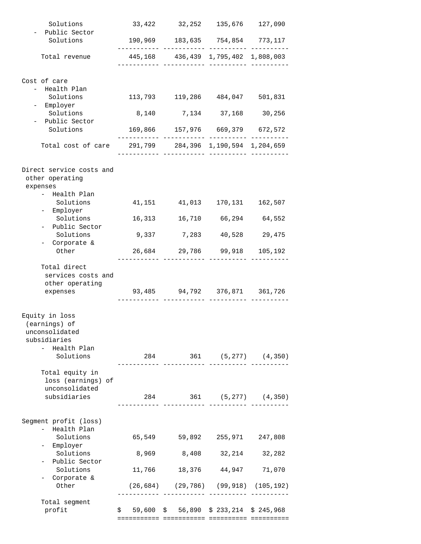| Solutions                                              |        | 33,422 32,252 135,676 127,090                              |                        |         |
|--------------------------------------------------------|--------|------------------------------------------------------------|------------------------|---------|
| Public Sector<br>Solutions                             |        | 190,969 183,635 754,854 773,117                            |                        |         |
| Total revenue                                          |        | . _ _ _ _ _ _ _ _ _<br>445,168 436,439 1,795,402 1,808,003 |                        |         |
|                                                        |        |                                                            |                        |         |
| Cost of care                                           |        |                                                            |                        |         |
| - Health Plan                                          |        |                                                            |                        |         |
| Solutions                                              |        | 113,793 119,286 484,047 501,831                            |                        |         |
| Employer                                               |        |                                                            |                        |         |
| Solutions                                              |        | 8,140 7,134 37,168 30,256                                  |                        |         |
| Public Sector<br>Solutions                             |        | 169,866 157,976 669,379 672,572                            |                        |         |
|                                                        |        | --- ------------ -------                                   |                        |         |
| Total cost of care 291,799 284,396 1,190,594 1,204,659 |        | --- ------------ ----------- -----                         |                        |         |
| Direct service costs and                               |        |                                                            |                        |         |
| other operating<br>expenses                            |        |                                                            |                        |         |
| - Health Plan                                          |        |                                                            |                        |         |
| Solutions                                              | 41,151 |                                                            | 41,013 170,131 162,507 |         |
| - Employer                                             |        |                                                            |                        |         |
| Solutions                                              | 16,313 |                                                            | 16,710 66,294 64,552   |         |
| - Public Sector                                        |        |                                                            |                        |         |
| Solutions<br>- Corporate &                             | 9,337  | 7,283                                                      | 40,528                 | 29,475  |
| Other                                                  |        | 26,684 29,786 99,918 105,192                               |                        |         |
|                                                        |        |                                                            | --- -------            |         |
| Total direct<br>services costs and                     |        |                                                            |                        |         |
| other operating                                        |        |                                                            |                        |         |
| expenses                                               |        | 93,485 94,792 376,871 361,726                              |                        |         |
|                                                        |        | ____ ____________ ___________ _____                        |                        |         |
|                                                        |        |                                                            |                        |         |
| Equity in loss<br>(earnings) of                        |        |                                                            |                        |         |
| unconsolidated                                         |        |                                                            |                        |         |
| subsidiaries                                           |        |                                                            |                        |         |
| - Health Plan                                          |        |                                                            |                        |         |
| Solutions                                              |        | 284 361 (5,277) (4,350)                                    |                        |         |
|                                                        |        | --- ---------                                              |                        |         |
| Total equity in                                        |        |                                                            |                        |         |
| loss (earnings) of                                     |        |                                                            |                        |         |
| unconsolidated                                         |        |                                                            |                        |         |
| subsidiaries                                           |        | 284 361 (5,277) (4,350)                                    |                        |         |
|                                                        |        |                                                            |                        |         |
| Segment profit (loss)                                  |        |                                                            |                        |         |
| - Health Plan                                          |        |                                                            |                        |         |
| Solutions                                              | 65,549 | 59,892                                                     | 255,971                | 247,808 |
| - Employer<br>Solutions                                |        |                                                            |                        | 32,282  |
| - Public Sector                                        | 8,969  | 8,408                                                      | 32,214                 |         |
| Solutions                                              | 11,766 |                                                            | 18,376 44,947          | 71,070  |
| - Corporate &                                          |        |                                                            |                        |         |
| Other                                                  |        | $(26, 684)$ $(29, 786)$ $(99, 918)$ $(105, 192)$           |                        |         |
|                                                        |        |                                                            |                        |         |
| Total segment<br>profit                                |        | $$59,600$$ $$56,890$$ $$233,214$$ $$245,968$               |                        |         |
|                                                        |        |                                                            |                        |         |
|                                                        |        |                                                            |                        |         |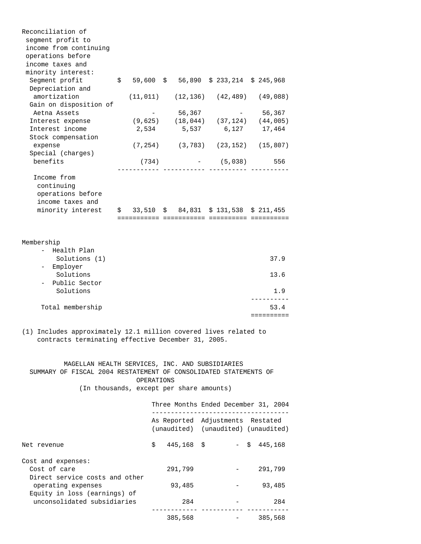| Reconciliation of<br>segment profit to<br>income from continuing<br>operations before<br>income taxes and<br>minority interest:                                                                                                                                                           |                                                                                       |                     |                                                                         |                    |  |
|-------------------------------------------------------------------------------------------------------------------------------------------------------------------------------------------------------------------------------------------------------------------------------------------|---------------------------------------------------------------------------------------|---------------------|-------------------------------------------------------------------------|--------------------|--|
| Segment profit<br>Depreciation and                                                                                                                                                                                                                                                        | $$59,600$$ \$ 56,890 \$ 233,214 \$ 245,968                                            |                     |                                                                         |                    |  |
| amortization<br>Gain on disposition of                                                                                                                                                                                                                                                    |                                                                                       |                     | $(11, 011)$ $(12, 136)$ $(42, 489)$ $(49, 088)$                         |                    |  |
| Aetna Assets                                                                                                                                                                                                                                                                              |                                                                                       | 56,367              |                                                                         | 56,367             |  |
| Interest expense                                                                                                                                                                                                                                                                          |                                                                                       |                     | $(9,625)$ $(18,044)$ $(37,124)$ $(44,005)$                              |                    |  |
| Interest income                                                                                                                                                                                                                                                                           | 2,534                                                                                 | 5,537               | 6,127                                                                   | 17,464             |  |
| Stock compensation                                                                                                                                                                                                                                                                        |                                                                                       |                     |                                                                         |                    |  |
| expense                                                                                                                                                                                                                                                                                   |                                                                                       |                     | $(7, 254)$ $(3, 783)$ $(23, 152)$ $(15, 807)$                           |                    |  |
| Special (charges)<br>benefits                                                                                                                                                                                                                                                             | (734)                                                                                 |                     | $- (5,038)$                                                             | 556                |  |
|                                                                                                                                                                                                                                                                                           |                                                                                       |                     |                                                                         |                    |  |
| Income from<br>continuing<br>operations before                                                                                                                                                                                                                                            |                                                                                       |                     |                                                                         |                    |  |
| income taxes and                                                                                                                                                                                                                                                                          |                                                                                       |                     |                                                                         |                    |  |
| minority interest                                                                                                                                                                                                                                                                         | $\frac{1}{5}$ 33,510 $\frac{1}{5}$ 84,831 $\frac{1}{5}$ 131,538 $\frac{1}{5}$ 211,455 |                     |                                                                         |                    |  |
| Membership                                                                                                                                                                                                                                                                                |                                                                                       |                     |                                                                         |                    |  |
| - Health Plan<br>Solutions (1)                                                                                                                                                                                                                                                            |                                                                                       |                     |                                                                         | 37.9               |  |
| - Employer<br>Solutions                                                                                                                                                                                                                                                                   |                                                                                       |                     |                                                                         | 13.6               |  |
| - Public Sector<br>Solutions                                                                                                                                                                                                                                                              |                                                                                       |                     |                                                                         | 1.9                |  |
| Total membership                                                                                                                                                                                                                                                                          |                                                                                       |                     |                                                                         | 53.4<br>========== |  |
| (1) Includes approximately 12.1 million covered lives related to<br>contracts terminating effective December 31, 2005.<br>MAGELLAN HEALTH SERVICES, INC. AND SUBSIDIARIES<br>SUMMARY OF FISCAL 2004 RESTATEMENT OF CONSOLIDATED STATEMENTS OF<br>(In thousands, except per share amounts) | OPERATIONS                                                                            |                     |                                                                         |                    |  |
|                                                                                                                                                                                                                                                                                           |                                                                                       | ------------------- | Three Months Ended December 31, 2004                                    |                    |  |
|                                                                                                                                                                                                                                                                                           |                                                                                       |                     | As Reported Adjustments Restated<br>(unaudited) (unaudited) (unaudited) |                    |  |
| Net revenue                                                                                                                                                                                                                                                                               | \$                                                                                    | $445, 168$ \$       |                                                                         | $-$ \$ 445,168     |  |
| Cost and expenses:<br>Cost of care<br>Direct service costs and other                                                                                                                                                                                                                      |                                                                                       | 291,799             |                                                                         | 291,799            |  |
| operating expenses<br>Equity in loss (earnings) of                                                                                                                                                                                                                                        |                                                                                       | 93,485              |                                                                         | 93,485             |  |
| unconsolidated subsidiaries                                                                                                                                                                                                                                                               |                                                                                       | 284                 | ----------                                                              | 284                |  |
|                                                                                                                                                                                                                                                                                           |                                                                                       | 385,568             | $\frac{1}{2}$ and $\frac{1}{2}$ and $\frac{1}{2}$                       | 385,568            |  |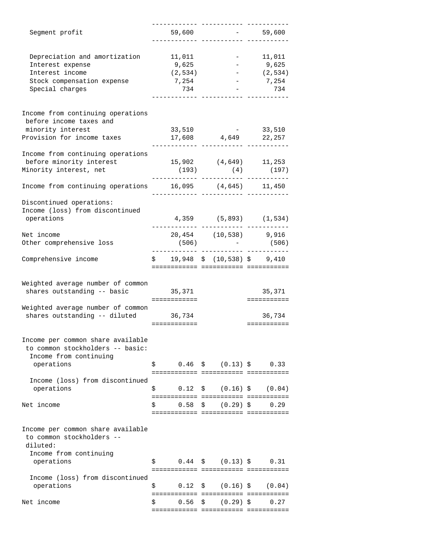| Segment profit                                                        | 59,600                                 |                                                           | $-59,600$             |
|-----------------------------------------------------------------------|----------------------------------------|-----------------------------------------------------------|-----------------------|
|                                                                       |                                        |                                                           |                       |
| Depreciation and amortization                                         | 11,011                                 |                                                           | $-11,011$             |
| Interest expense                                                      | 9,625                                  |                                                           | $-9,625$              |
| Interest income                                                       | (2, 534)                               |                                                           | (2, 534)              |
| Stock compensation expense                                            | 7,254                                  |                                                           | $-7,254$              |
| Special charges                                                       | 734                                    |                                                           | 734                   |
|                                                                       |                                        |                                                           |                       |
| Income from continuing operations                                     |                                        |                                                           |                       |
| before income taxes and                                               |                                        |                                                           |                       |
| minority interest                                                     | 33,510                                 | $\mathcal{L}_{\text{max}}$ and $\mathcal{L}_{\text{max}}$ | 33,510                |
| Provision for income taxes                                            |                                        | 17,608 4,649 22,257                                       |                       |
|                                                                       |                                        |                                                           |                       |
| Income from continuing operations                                     |                                        |                                                           |                       |
| before minority interest                                              |                                        | $15,902$ (4,649) 11,253                                   |                       |
| Minority interest, net                                                | (193)                                  | (4)                                                       | (197)                 |
| Income from continuing operations 16,095 (4,645) 11,450               |                                        |                                                           |                       |
| Discontinued operations:                                              |                                        |                                                           |                       |
| Income (loss) from discontinued                                       |                                        |                                                           |                       |
| operations                                                            |                                        | $4,359$ $(5,893)$ $(1,534)$                               |                       |
|                                                                       |                                        |                                                           |                       |
| Net income                                                            |                                        | 20,454 (10,538) 9,916                                     |                       |
| Other comprehensive loss                                              | (506)                                  |                                                           | (506)                 |
| Comprehensive income                                                  | $$19,948$$ $$(10,538)$$ $$9,410$       |                                                           |                       |
|                                                                       |                                        |                                                           |                       |
|                                                                       |                                        |                                                           |                       |
| Weighted average number of common                                     |                                        |                                                           |                       |
| shares outstanding -- basic                                           | 35,371<br>============                 |                                                           | 35,371<br>=========== |
| Weighted average number of common                                     |                                        |                                                           |                       |
| shares outstanding -- diluted 36,734                                  |                                        |                                                           | 36,734                |
|                                                                       | ============                           |                                                           | ===========           |
|                                                                       |                                        |                                                           |                       |
| Income per common share available<br>to common stockholders -- basic: |                                        |                                                           |                       |
|                                                                       |                                        |                                                           |                       |
| Income from continuing<br>operations                                  | \$                                     | $0.46 \quad $ (0.13) $$                                   | 0.33                  |
|                                                                       |                                        |                                                           |                       |
| Income (loss) from discontinued                                       |                                        |                                                           |                       |
| operations                                                            | \$<br>0.12                             | \$ (0.16) \$                                              | (0.04)                |
|                                                                       |                                        |                                                           |                       |
| Net income                                                            | 0.58<br>\$                             | \$ (0.29) \$                                              | 0.29                  |
|                                                                       | ====================================== |                                                           |                       |
|                                                                       |                                        |                                                           |                       |
| Income per common share available                                     |                                        |                                                           |                       |
| to common stockholders --                                             |                                        |                                                           |                       |
| diluted:                                                              |                                        |                                                           |                       |
| Income from continuing                                                |                                        |                                                           |                       |
| operations                                                            | \$                                     | $0.44 \pm (0.13) \pm 0.31$                                |                       |
|                                                                       | ============= ============ =========== |                                                           |                       |
| Income (loss) from discontinued                                       |                                        |                                                           |                       |
| operations                                                            | \$<br>0.12                             | $(0.16)$ \$<br>$\mathsf{S}$                               | (0.04)                |
|                                                                       |                                        |                                                           |                       |
| Net income                                                            | \$<br>0.56                             | $(0.29)$ \$<br>S.                                         | 0.27                  |
|                                                                       |                                        |                                                           |                       |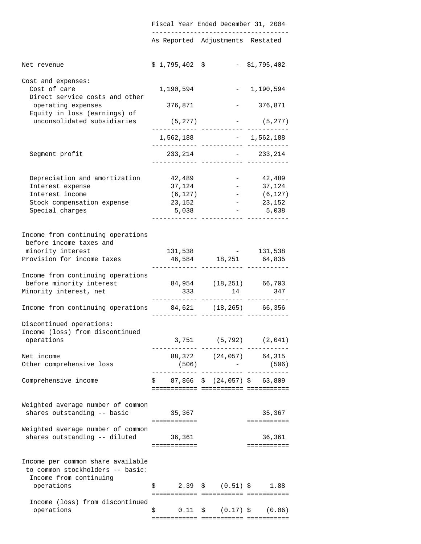|                                                                       |                       | Fiscal Year Ended December 31, 2004                     |               |
|-----------------------------------------------------------------------|-----------------------|---------------------------------------------------------|---------------|
|                                                                       |                       | As Reported Adjustments Restated                        |               |
| Net revenue                                                           | $$1,795,402$ \$       |                                                         | - \$1,795,402 |
| Cost and expenses:<br>Cost of care<br>Direct service costs and other  | 1,190,594             |                                                         | $-1,190,594$  |
| operating expenses<br>Equity in loss (earnings) of                    | 376,871               |                                                         | $-376,871$    |
| unconsolidated subsidiaries                                           | $(5,277)$ - $(5,277)$ | ._________  _____________  _______                      |               |
|                                                                       |                       | $1,562,188$ - 1,562,188                                 |               |
| Segment profit                                                        |                       | $233, 214$ - 233, 214<br>.________ ____________ _______ |               |
| Depreciation and amortization 42,489                                  |                       |                                                         | $-42,489$     |
| Interest expense                                                      | 37,124                | $\alpha = 0.01$                                         | 37,124        |
| Interest income                                                       | (6, 127)              | $\sim 10^{-10}$                                         | (6, 127)      |
| Stock compensation expense                                            | 23,152                | $\sim$ $ \sim$                                          | 23,152        |
| Special charges                                                       | 5,038                 | $\sim$<br>________ ____________ _____                   | 5,038         |
| Income from continuing operations<br>before income taxes and          |                       |                                                         |               |
| minority interest                                                     | 131,538               |                                                         | $- 131,538$   |
| Provision for income taxes                                            |                       | 46,584 18,251 64,835<br>.______ ____________ _______    |               |
| Income from continuing operations                                     |                       |                                                         |               |
| before minority interest 84,954 (18,251) 66,703                       |                       |                                                         |               |
| Minority interest, net                                                | 333                   | 14 347                                                  |               |
| Income from continuing operations 84,621 (18,265) 66,356              |                       |                                                         |               |
| Discontinued operations:                                              |                       |                                                         |               |
| Income (loss) from discontinued                                       |                       |                                                         |               |
| operations                                                            |                       | $3,751$ (5,792) (2,041)                                 |               |
| Net income                                                            |                       | 88,372 (24,057) 64,315                                  |               |
| Other comprehensive loss                                              |                       | $(506)$ - (506)<br>----------- ----------- -----------  |               |
| Comprehensive income                                                  |                       | $$87,866 \$ (24,057) \$ 63,809$                         |               |
|                                                                       |                       |                                                         |               |
| Weighted average number of common                                     |                       |                                                         |               |
| shares outstanding -- basic 35,367                                    |                       |                                                         | 35,367        |
| Weighted average number of common                                     | ============          |                                                         | ===========   |
| shares outstanding -- diluted 36,361                                  |                       |                                                         | 36,361        |
|                                                                       | ============          |                                                         | ===========   |
| Income per common share available<br>to common stockholders -- basic: |                       |                                                         |               |
| Income from continuing<br>operations                                  |                       | $\frac{1}{5}$ 2.39 \$ (0.51) \$ 1.88                    |               |
|                                                                       |                       |                                                         |               |
| Income (loss) from discontinued<br>operations                         | \$                    | $0.11 \quad \xi \qquad (0.17) \quad \xi \qquad (0.06)$  |               |
|                                                                       |                       | ============= ============ ===========                  |               |